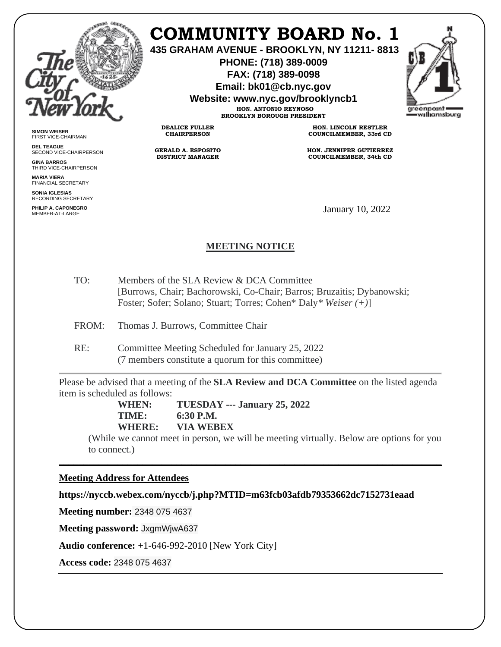

**SIMON WEISER** FIRST VICE-CHAIRMAN **DEL TEAGUE**

**GINA BARROS** THIRD VICE-CHAIRPERSON

**MARIA VIERA** FINANCIAL SECRETARY **SONIA IGLESIAS** RECORDING SECRETARY **PHILIP A. CAPONEGRO**

SECOND VICE-CHAIRPERSON

# **COMMUNITY BOARD No. 1**

**435 GRAHAM AVENUE - BROOKLYN, NY 11211- 8813**

**PHONE: (718) 389-0009 FAX: (718) 389-0098**

**Email: bk01@cb.nyc.gov**

**Website: www.nyc.gov/brooklyncb1**

**HON. ANTONIO REYNOSO BROOKLYN BOROUGH PRESIDENT**

**DEALICE FULLER CHAIRPERSON**

**GERALD A. ESPOSITO DISTRICT MANAGER**

**HON. LINCOLN RESTLER COUNCILMEMBER, 33rd CD**

**HON. JENNIFER GUTIERREZ COUNCILMEMBER, 34th CD**

January 10, 2022

## **MEETING NOTICE**

- TO: Members of the SLA Review & DCA Committee [Burrows, Chair; Bachorowski, Co-Chair; Barros; Bruzaitis; Dybanowski; Foster; Sofer; Solano; Stuart; Torres; Cohen\* Daly*\* Weiser (+)*]
- FROM: Thomas J. Burrows, Committee Chair
- RE: Committee Meeting Scheduled for January 25, 2022 (7 members constitute a quorum for this committee)

Please be advised that a meeting of the **SLA Review and DCA Committee** on the listed agenda item is scheduled as follows:

\_\_\_\_\_\_\_\_\_\_\_\_\_\_\_\_\_\_\_\_\_\_\_\_\_\_\_\_\_\_\_\_\_\_\_\_\_\_\_\_\_\_\_\_\_\_\_\_\_\_\_\_\_\_\_\_\_\_\_\_\_\_\_\_\_\_\_\_\_\_\_\_\_\_\_\_\_\_

**WHEN: TUESDAY --- January 25, 2022 TIME: 6:30 P.M. WHERE: VIA WEBEX**

(While we cannot meet in person, we will be meeting virtually. Below are options for you to connect.)

#### **Meeting Address for Attendees**

**https://nyccb.webex.com/nyccb/j.php?MTID=m63fcb03afdb79353662dc7152731eaad**

**Meeting number:** 2348 075 4637

**Meeting password:** JxgmWjwA637

**Audio conference:** +1-646-992-2010 [New York City]

**Access code:** 2348 075 4637

areenpoint williamsburg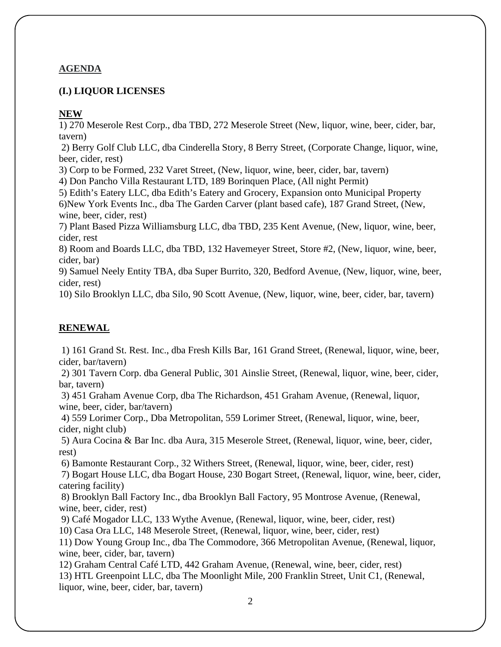#### **AGENDA**

#### **(I.) LIQUOR LICENSES**

#### **NEW**

1) 270 Meserole Rest Corp., dba TBD, 272 Meserole Street (New, liquor, wine, beer, cider, bar, tavern)

2) Berry Golf Club LLC, dba Cinderella Story, 8 Berry Street, (Corporate Change, liquor, wine, beer, cider, rest)

3) Corp to be Formed, 232 Varet Street, (New, liquor, wine, beer, cider, bar, tavern)

4) Don Pancho Villa Restaurant LTD, 189 Borinquen Place, (All night Permit)

5) Edith's Eatery LLC, dba Edith's Eatery and Grocery, Expansion onto Municipal Property 6)New York Events Inc., dba The Garden Carver (plant based cafe), 187 Grand Street, (New, wine, beer, cider, rest)

7) Plant Based Pizza Williamsburg LLC, dba TBD, 235 Kent Avenue, (New, liquor, wine, beer, cider, rest

8) Room and Boards LLC, dba TBD, 132 Havemeyer Street, Store #2, (New, liquor, wine, beer, cider, bar)

9) Samuel Neely Entity TBA, dba Super Burrito, 320, Bedford Avenue, (New, liquor, wine, beer, cider, rest)

10) Silo Brooklyn LLC, dba Silo, 90 Scott Avenue, (New, liquor, wine, beer, cider, bar, tavern)

### **RENEWAL**

1) 161 Grand St. Rest. Inc., dba Fresh Kills Bar, 161 Grand Street, (Renewal, liquor, wine, beer, cider, bar/tavern)

2) 301 Tavern Corp. dba General Public, 301 Ainslie Street, (Renewal, liquor, wine, beer, cider, bar, tavern)

3) 451 Graham Avenue Corp, dba The Richardson, 451 Graham Avenue, (Renewal, liquor, wine, beer, cider, bar/tavern)

4) 559 Lorimer Corp., Dba Metropolitan, 559 Lorimer Street, (Renewal, liquor, wine, beer, cider, night club)

5) Aura Cocina & Bar Inc. dba Aura, 315 Meserole Street, (Renewal, liquor, wine, beer, cider, rest)

6) Bamonte Restaurant Corp., 32 Withers Street, (Renewal, liquor, wine, beer, cider, rest)

7) Bogart House LLC, dba Bogart House, 230 Bogart Street, (Renewal, liquor, wine, beer, cider, catering facility)

8) Brooklyn Ball Factory Inc., dba Brooklyn Ball Factory, 95 Montrose Avenue, (Renewal, wine, beer, cider, rest)

9) Café Mogador LLC, 133 Wythe Avenue, (Renewal, liquor, wine, beer, cider, rest)

10) Casa Ora LLC, 148 Meserole Street, (Renewal, liquor, wine, beer, cider, rest)

11) Dow Young Group Inc., dba The Commodore, 366 Metropolitan Avenue, (Renewal, liquor, wine, beer, cider, bar, tavern)

12) Graham Central Café LTD, 442 Graham Avenue, (Renewal, wine, beer, cider, rest) 13) HTL Greenpoint LLC, dba The Moonlight Mile, 200 Franklin Street, Unit C1, (Renewal, liquor, wine, beer, cider, bar, tavern)